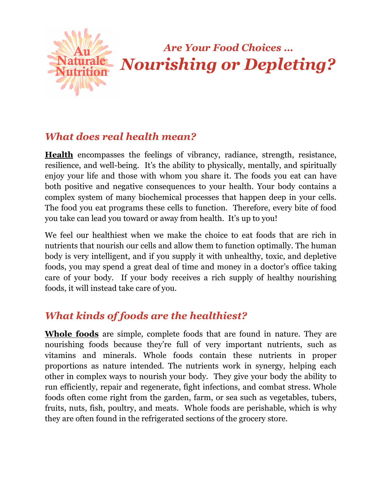

# Are Your Food Choices … Nourishing or Depleting?

### What does real health mean?

Health encompasses the feelings of vibrancy, radiance, strength, resistance, resilience, and well-being. It's the ability to physically, mentally, and spiritually enjoy your life and those with whom you share it. The foods you eat can have both positive and negative consequences to your health. Your body contains a complex system of many biochemical processes that happen deep in your cells. The food you eat programs these cells to function. Therefore, every bite of food you take can lead you toward or away from health. It's up to you!

We feel our healthiest when we make the choice to eat foods that are rich in nutrients that nourish our cells and allow them to function optimally. The human body is very intelligent, and if you supply it with unhealthy, toxic, and depletive foods, you may spend a great deal of time and money in a doctor's office taking care of your body. If your body receives a rich supply of healthy nourishing foods, it will instead take care of you.

# What kinds of foods are the healthiest?

Whole foods are simple, complete foods that are found in nature. They are nourishing foods because they're full of very important nutrients, such as vitamins and minerals. Whole foods contain these nutrients in proper proportions as nature intended. The nutrients work in synergy, helping each other in complex ways to nourish your body. They give your body the ability to run efficiently, repair and regenerate, fight infections, and combat stress. Whole foods often come right from the garden, farm, or sea such as vegetables, tubers, fruits, nuts, fish, poultry, and meats. Whole foods are perishable, which is why they are often found in the refrigerated sections of the grocery store.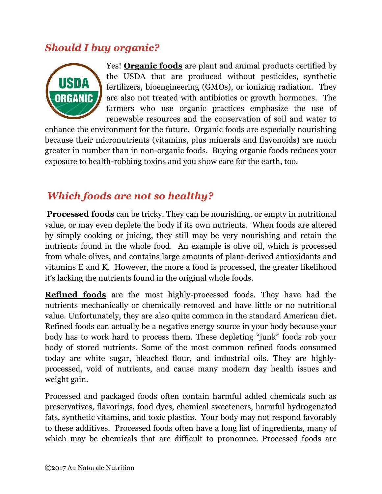### Should I buy organic?



Yes! Organic foods are plant and animal products certified by the USDA that are produced without pesticides, synthetic fertilizers, bioengineering (GMOs), or ionizing radiation. They are also not treated with antibiotics or growth hormones. The farmers who use organic practices emphasize the use of renewable resources and the conservation of soil and water to

enhance the environment for the future. Organic foods are especially nourishing because their micronutrients (vitamins, plus minerals and flavonoids) are much greater in number than in non-organic foods. Buying organic foods reduces your exposure to health-robbing toxins and you show care for the earth, too.

# Which foods are not so healthy?

Processed foods can be tricky. They can be nourishing, or empty in nutritional value, or may even deplete the body if its own nutrients. When foods are altered by simply cooking or juicing, they still may be very nourishing and retain the nutrients found in the whole food. An example is olive oil, which is processed from whole olives, and contains large amounts of plant-derived antioxidants and vitamins E and K. However, the more a food is processed, the greater likelihood it's lacking the nutrients found in the original whole foods.

Refined foods are the most highly-processed foods. They have had the nutrients mechanically or chemically removed and have little or no nutritional value. Unfortunately, they are also quite common in the standard American diet. Refined foods can actually be a negative energy source in your body because your body has to work hard to process them. These depleting "junk" foods rob your body of stored nutrients. Some of the most common refined foods consumed today are white sugar, bleached flour, and industrial oils. They are highlyprocessed, void of nutrients, and cause many modern day health issues and weight gain.

Processed and packaged foods often contain harmful added chemicals such as preservatives, flavorings, food dyes, chemical sweeteners, harmful hydrogenated fats, synthetic vitamins, and toxic plastics. Your body may not respond favorably to these additives. Processed foods often have a long list of ingredients, many of which may be chemicals that are difficult to pronounce. Processed foods are